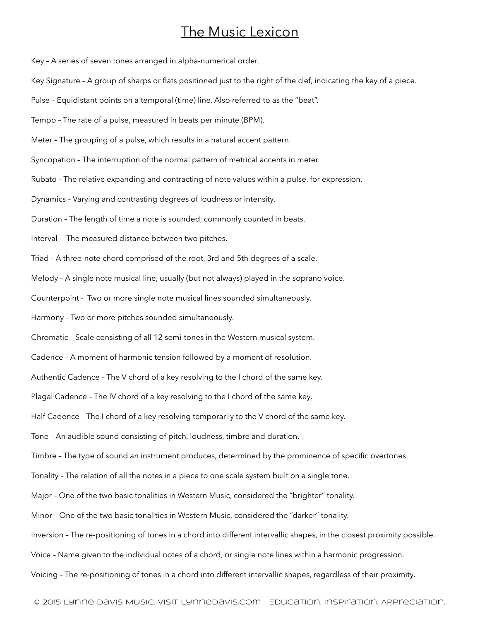## The Music Lexicon

Key – A series of seven tones arranged in alpha-numerical order.

Key Signature – A group of sharps or flats positioned just to the right of the clef, indicating the key of a piece.

Pulse – Equidistant points on a temporal (time) line. Also referred to as the "beat".

Tempo – The rate of a pulse, measured in beats per minute (BPM).

Meter – The grouping of a pulse, which results in a natural accent pattern.

Syncopation – The interruption of the normal pattern of metrical accents in meter.

Rubato – The relative expanding and contracting of note values within a pulse, for expression.

Dynamics – Varying and contrasting degrees of loudness or intensity.

Duration – The length of time a note is sounded, commonly counted in beats.

Interval – The measured distance between two pitches.

Triad – A three-note chord comprised of the root, 3rd and 5th degrees of a scale.

Melody – A single note musical line, usually (but not always) played in the soprano voice.

Counterpoint - Two or more single note musical lines sounded simultaneously.

Harmony – Two or more pitches sounded simultaneously.

Chromatic – Scale consisting of all 12 semi-tones in the Western musical system.

Cadence – A moment of harmonic tension followed by a moment of resolution.

Authentic Cadence – The V chord of a key resolving to the I chord of the same key.

Plagal Cadence – The IV chord of a key resolving to the I chord of the same key.

Half Cadence – The I chord of a key resolving temporarily to the V chord of the same key.

Tone – An audible sound consisting of pitch, loudness, timbre and duration.

Timbre – The type of sound an instrument produces, determined by the prominence of specific overtones.

Tonality – The relation of all the notes in a piece to one scale system built on a single tone.

Major – One of the two basic tonalities in Western Music, considered the "brighter" tonality.

Minor – One of the two basic tonalities in Western Music, considered the "darker" tonality.

Inversion – The re-positioning of tones in a chord into different intervallic shapes, in the closest proximity possible.

Voice – Name given to the individual notes of a chord, or single note lines within a harmonic progression.

Voicing – The re-positioning of tones in a chord into different intervallic shapes, regardless of their proximity.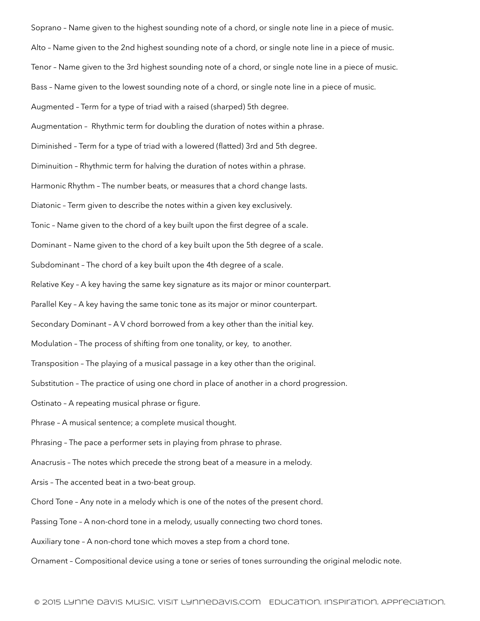Soprano – Name given to the highest sounding note of a chord, or single note line in a piece of music. Alto – Name given to the 2nd highest sounding note of a chord, or single note line in a piece of music. Tenor – Name given to the 3rd highest sounding note of a chord, or single note line in a piece of music. Bass – Name given to the lowest sounding note of a chord, or single note line in a piece of music. Augmented – Term for a type of triad with a raised (sharped) 5th degree. Augmentation – Rhythmic term for doubling the duration of notes within a phrase. Diminished – Term for a type of triad with a lowered (flatted) 3rd and 5th degree. Diminuition – Rhythmic term for halving the duration of notes within a phrase. Harmonic Rhythm – The number beats, or measures that a chord change lasts. Diatonic – Term given to describe the notes within a given key exclusively. Tonic – Name given to the chord of a key built upon the first degree of a scale. Dominant – Name given to the chord of a key built upon the 5th degree of a scale. Subdominant – The chord of a key built upon the 4th degree of a scale. Relative Key – A key having the same key signature as its major or minor counterpart. Parallel Key – A key having the same tonic tone as its major or minor counterpart. Secondary Dominant – A V chord borrowed from a key other than the initial key. Modulation – The process of shifting from one tonality, or key, to another. Transposition – The playing of a musical passage in a key other than the original. Substitution – The practice of using one chord in place of another in a chord progression. Ostinato – A repeating musical phrase or figure. Phrase – A musical sentence; a complete musical thought. Phrasing - The pace a performer sets in playing from phrase to phrase. Anacrusis – The notes which precede the strong beat of a measure in a melody. Arsis – The accented beat in a two-beat group. Chord Tone – Any note in a melody which is one of the notes of the present chord. Passing Tone – A non-chord tone in a melody, usually connecting two chord tones. Auxiliary tone – A non-chord tone which moves a step from a chord tone. Ornament – Compositional device using a tone or series of tones surrounding the original melodic note.